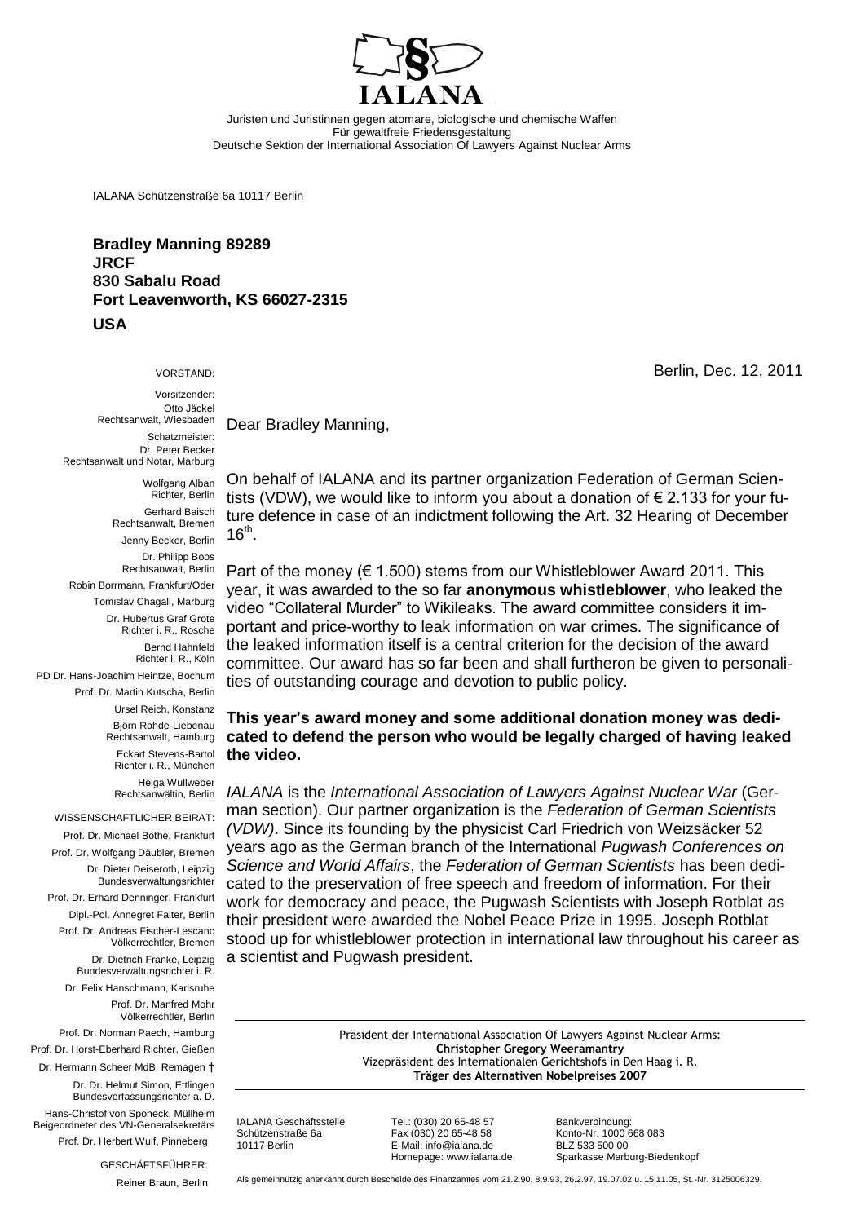

Juristen und Juristinnen gegen atomare, biologische und chemische Waffen Für gewaltfreie Friedensgestaltung Deutsche Sektion der International Association Of Lawyers Against Nuclear Arms

IALANA Schützenstraße 6a 10117 Berlin

**Bradley Manning 89289 JRCF 830 Sabalu Road Fort Leavenworth, KS 66027-2315 USA**

VORSTAND:

Vorsitzender: Otto Jäckel Rechtsanwalt, Wiesbaden Schatzmeister: Dr. Peter Becker Rechtsanwalt und Notar, Marburg

> Wolfgang Alban Richter, Berlin Gerhard Baisch Rechtsanwalt, Bremen Jenny Becker, Berlin

Dr. Philipp Boos Rechtsanwalt, Berlin Robin Borrmann, Frankfurt/Oder Tomislav Chagall, Marburg Dr. Hubertus Graf Grote Richter i. R., Rosche Bernd Hahnfeld Richter i. R., Köln

PD Dr. Hans-Joachim Heintze, Bochum Prof. Dr. Martin Kutscha, Berlin Ursel Reich, Konstanz

Björn Rohde-Liebenau Rechtsanwalt, Hamburg

Eckart Stevens-Bartol Richter i. R., München Helga Wullweber

Rechtsanwältin, Berlin

WISSENSCHAFTLICHER BEIRAT:

Prof. Dr. Michael Bothe, Frankfurt Prof. Dr. Wolfgang Däubler, Bremen Dr. Dieter Deiseroth, Leipzig Bundesverwaltungsrichter Prof. Dr. Erhard Denninger, Frankfurt

Dipl.-Pol. Annegret Falter, Berlin Prof. Dr. Andreas Fischer-Lescano Völkerrechtler, Bremen

> Dr. Dietrich Franke, Leipzig Bundesverwaltungsrichter i. R.

Dr. Felix Hanschmann, Karlsruhe Prof. Dr. Manfred Mohr

Völkerrechtler, Berlin

Prof. Dr. Norman Paech, Hamburg Prof. Dr. Horst-Eberhard Richter, Gießen

Dr. Hermann Scheer MdB, Remagen †

Dr. Dr. Helmut Simon, Ettlingen Bundesverfassungsrichter a. D.

Hans-Christof von Sponeck, Müllheim Beigeordneter des VN-Generalsekretärs Prof. Dr. Herbert Wulf, Pinneberg

GESCHÄFTSFÜHRER:

Reiner Braun, Berlin

Dear Bradley Manning,

On behalf of IALANA and its partner organization Federation of German Scientists (VDW), we would like to inform you about a donation of  $\epsilon$  2.133 for your future defence in case of an indictment following the Art. 32 Hearing of December  $16<sup>th</sup>$ .

Part of the money ( $\in$  1.500) stems from our Whistleblower Award 2011. This year, it was awarded to the so far **anonymous whistleblower**, who leaked the video "Collateral Murder" to Wikileaks. The award committee considers it important and price-worthy to leak information on war crimes. The significance of the leaked information itself is a central criterion for the decision of the award committee. Our award has so far been and shall furtheron be given to personalities of outstanding courage and devotion to public policy.

## **This year's award money and some additional donation money was dedicated to defend the person who would be legally charged of having leaked the video.**

*IALANA* is the *International Association of Lawyers Against Nuclear War* (German section). Our partner organization is the *Federation of German Scientists (VDW)*. Since its founding by the physicist Carl Friedrich von Weizsäcker 52 years ago as the German branch of the International *Pugwash Conferences on Science and World Affairs*, the *Federation of German Scientists* has been dedicated to the preservation of free speech and freedom of information. For their work for democracy and peace, the Pugwash Scientists with Joseph Rotblat as their president were awarded the Nobel Peace Prize in 1995. Joseph Rotblat stood up for whistleblower protection in international law throughout his career as a scientist and Pugwash president.

> Präsident der International Association Of Lawyers Against Nuclear Arms: **Christopher Gregory Weeramantry** Vizepräsident des Internationalen Gerichtshofs in Den Haag i. R. **Träger des Alternativen Nobelpreises 2007**

IALANA Geschäftsstelle Tel.: (030) 20 65-48 57 Bankverbindung: Fax (030) 20 65-48 58 Homepage: www.ialana.de

10117 Berlin E-Mail: info@ialana.de BLZ 533 500 00

Berlin, Dec. 12, 2011

Als gemeinnützig anerkannt durch Bescheide des Finanzamtes vom 21.2.90, 8.9.93, 26.2.97, 19.07.02 u. 15.11.05, St.-Nr. 3125006329.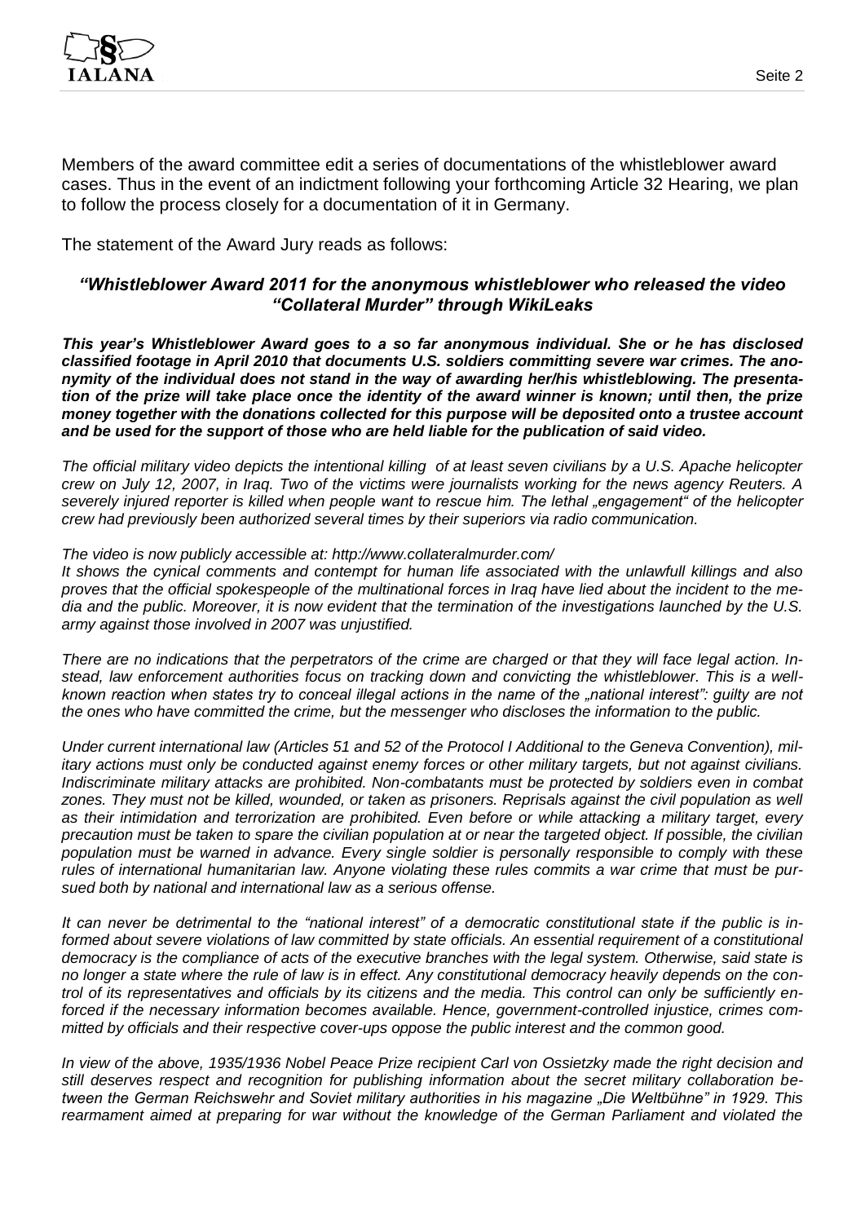

Members of the award committee edit a series of documentations of the whistleblower award cases. Thus in the event of an indictment following your forthcoming Article 32 Hearing, we plan to follow the process closely for a documentation of it in Germany.

The statement of the Award Jury reads as follows:

## *"Whistleblower Award 2011 for the anonymous whistleblower who released the video "Collateral Murder" through WikiLeaks*

*This year's Whistleblower Award goes to a so far anonymous individual. She or he has disclosed classified footage in April 2010 that documents U.S. soldiers committing severe war crimes. The anonymity of the individual does not stand in the way of awarding her/his whistleblowing. The presentation of the prize will take place once the identity of the award winner is known; until then, the prize money together with the donations collected for this purpose will be deposited onto a trustee account and be used for the support of those who are held liable for the publication of said video.*

*The official military video depicts the intentional killing of at least seven civilians by a U.S. Apache helicopter crew on July 12, 2007, in Iraq. Two of the victims were journalists working for the news agency Reuters. A severely injured reporter is killed when people want to rescue him. The lethal "engagement" of the helicopter crew had previously been authorized several times by their superiors via radio communication.*

*The video is now publicly accessible at: http://www.collateralmurder.com/*

*It shows the cynical comments and contempt for human life associated with the unlawfull killings and also proves that the official spokespeople of the multinational forces in Iraq have lied about the incident to the media and the public. Moreover, it is now evident that the termination of the investigations launched by the U.S. army against those involved in 2007 was unjustified.*

*There are no indications that the perpetrators of the crime are charged or that they will face legal action. Instead, law enforcement authorities focus on tracking down and convicting the whistleblower. This is a wellknown reaction when states try to conceal illegal actions in the name of the "national interest": guilty are not the ones who have committed the crime, but the messenger who discloses the information to the public.*

*Under current international law (Articles 51 and 52 of the Protocol I Additional to the Geneva Convention), military actions must only be conducted against enemy forces or other military targets, but not against civilians. Indiscriminate military attacks are prohibited. Non-combatants must be protected by soldiers even in combat*  zones. They must not be killed, wounded, or taken as prisoners. Reprisals against the civil population as well *as their intimidation and terrorization are prohibited. Even before or while attacking a military target, every precaution must be taken to spare the civilian population at or near the targeted object. If possible, the civilian population must be warned in advance. Every single soldier is personally responsible to comply with these rules of international humanitarian law. Anyone violating these rules commits a war crime that must be pursued both by national and international law as a serious offense.*

*It can never be detrimental to the "national interest" of a democratic constitutional state if the public is in*formed about severe violations of law committed by state officials. An essential requirement of a constitutional *democracy is the compliance of acts of the executive branches with the legal system. Otherwise, said state is no longer a state where the rule of law is in effect. Any constitutional democracy heavily depends on the control of its representatives and officials by its citizens and the media. This control can only be sufficiently enforced if the necessary information becomes available. Hence, government-controlled injustice, crimes committed by officials and their respective cover-ups oppose the public interest and the common good.*

*In view of the above, 1935/1936 Nobel Peace Prize recipient Carl von Ossietzky made the right decision and still deserves respect and recognition for publishing information about the secret military collaboration between the German Reichswehr and Soviet military authorities in his magazine "Die Weltbühne" in 1929. This rearmament aimed at preparing for war without the knowledge of the German Parliament and violated the*